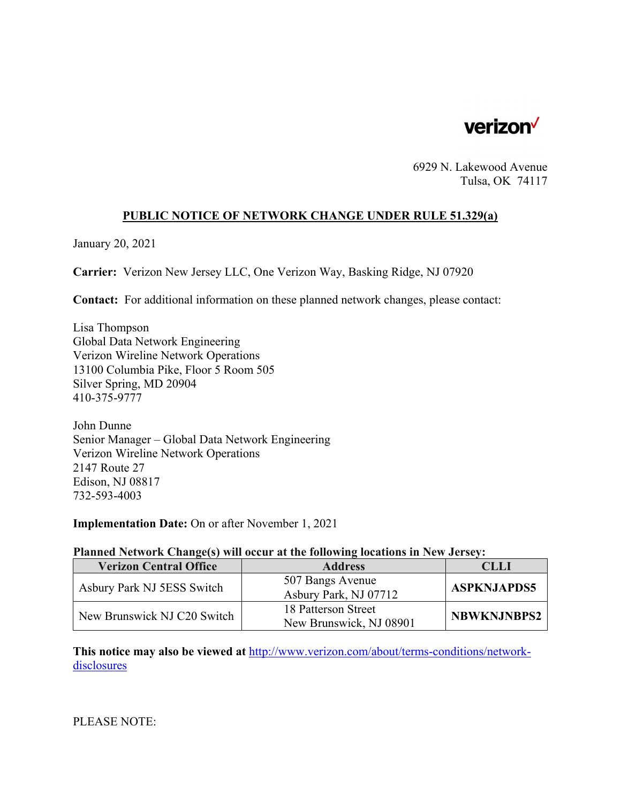

6929 N. Lakewood Avenue Tulsa, OK 74117

## **PUBLIC NOTICE OF NETWORK CHANGE UNDER RULE 51.329(a)**

January 20, 2021

**Carrier:** Verizon New Jersey LLC, One Verizon Way, Basking Ridge, NJ 07920

**Contact:** For additional information on these planned network changes, please contact:

Lisa Thompson Global Data Network Engineering Verizon Wireline Network Operations 13100 Columbia Pike, Floor 5 Room 505 Silver Spring, MD 20904 410-375-9777

John Dunne Senior Manager – Global Data Network Engineering Verizon Wireline Network Operations 2147 Route 27 Edison, NJ 08817 732-593-4003

**Implementation Date:** On or after November 1, 2021

## **Planned Network Change(s) will occur at the following locations in New Jersey:**

| <b>Verizon Central Office</b> | <b>Address</b>                                 | CLLI               |
|-------------------------------|------------------------------------------------|--------------------|
| Asbury Park NJ 5ESS Switch    | 507 Bangs Avenue<br>Asbury Park, NJ 07712      | <b>ASPKNJAPDS5</b> |
| New Brunswick NJ C20 Switch   | 18 Patterson Street<br>New Brunswick, NJ 08901 | <b>NBWKNJNBPS2</b> |

**This notice may also be viewed at** http://www.verizon.com/about/terms-conditions/networkdisclosures

PLEASE NOTE: